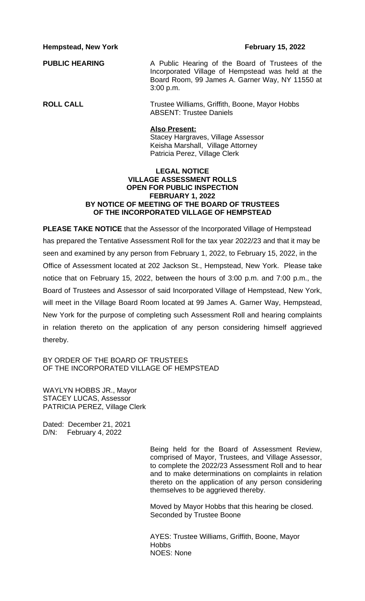**Hempstead, New York February 15, 2022** 

**PUBLIC HEARING** A Public Hearing of the Board of Trustees of the Incorporated Village of Hempstead was held at the Board Room, 99 James A. Garner Way, NY 11550 at 3:00 p.m.

**ROLL CALL** Trustee Williams, Griffith, Boone, Mayor Hobbs ABSENT: Trustee Daniels

## **Also Present:**

Stacey Hargraves, Village Assessor Keisha Marshall, Village Attorney Patricia Perez, Village Clerk

# **LEGAL NOTICE VILLAGE ASSESSMENT ROLLS OPEN FOR PUBLIC INSPECTION FEBRUARY 1, 2022 BY NOTICE OF MEETING OF THE BOARD OF TRUSTEES OF THE INCORPORATED VILLAGE OF HEMPSTEAD**

**PLEASE TAKE NOTICE** that the Assessor of the Incorporated Village of Hempstead has prepared the Tentative Assessment Roll for the tax year 2022/23 and that it may be seen and examined by any person from February 1, 2022, to February 15, 2022, in the Office of Assessment located at 202 Jackson St., Hempstead, New York. Please take notice that on February 15, 2022, between the hours of 3:00 p.m. and 7:00 p.m., the Board of Trustees and Assessor of said Incorporated Village of Hempstead, New York, will meet in the Village Board Room located at 99 James A. Garner Way, Hempstead, New York for the purpose of completing such Assessment Roll and hearing complaints in relation thereto on the application of any person considering himself aggrieved thereby.

BY ORDER OF THE BOARD OF TRUSTEES OF THE INCORPORATED VILLAGE OF HEMPSTEAD

WAYLYN HOBBS JR., Mayor STACEY LUCAS, Assessor PATRICIA PEREZ, Village Clerk

Dated: December 21, 2021 D/N: February 4, 2022

> Being held for the Board of Assessment Review, comprised of Mayor, Trustees, and Village Assessor, to complete the 2022/23 Assessment Roll and to hear and to make determinations on complaints in relation thereto on the application of any person considering themselves to be aggrieved thereby.

Moved by Mayor Hobbs that this hearing be closed. Seconded by Trustee Boone

AYES: Trustee Williams, Griffith, Boone, Mayor **Hobbs** NOES: None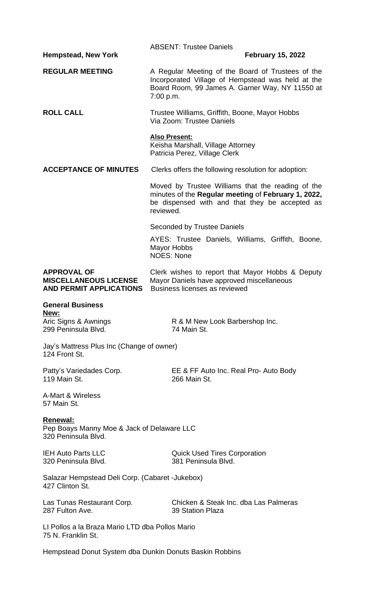| <b>Hempstead, New York</b>                                                           | <b>ABSENT: Trustee Daniels</b><br><b>February 15, 2022</b>                                                                                                              |  |  |  |
|--------------------------------------------------------------------------------------|-------------------------------------------------------------------------------------------------------------------------------------------------------------------------|--|--|--|
| <b>REGULAR MEETING</b>                                                               | A Regular Meeting of the Board of Trustees of the<br>Incorporated Village of Hempstead was held at the<br>Board Room, 99 James A. Garner Way, NY 11550 at<br>7:00 p.m.  |  |  |  |
| <b>ROLL CALL</b>                                                                     | Trustee Williams, Griffith, Boone, Mayor Hobbs<br>Via Zoom: Trustee Daniels                                                                                             |  |  |  |
|                                                                                      | <b>Also Present:</b><br>Keisha Marshall, Village Attorney<br>Patricia Perez, Village Clerk                                                                              |  |  |  |
| <b>ACCEPTANCE OF MINUTES</b>                                                         | Clerks offers the following resolution for adoption:                                                                                                                    |  |  |  |
|                                                                                      | Moved by Trustee Williams that the reading of the<br>minutes of the Regular meeting of February 1, 2022,<br>be dispensed with and that they be accepted as<br>reviewed. |  |  |  |
|                                                                                      | <b>Seconded by Trustee Daniels</b>                                                                                                                                      |  |  |  |
|                                                                                      | AYES: Trustee Daniels, Williams, Griffith, Boone,<br><b>Mayor Hobbs</b><br><b>NOES: None</b>                                                                            |  |  |  |
| <b>APPROVAL OF</b><br><b>MISCELLANEOUS LICENSE</b><br><b>AND PERMIT APPLICATIONS</b> | Clerk wishes to report that Mayor Hobbs & Deputy<br>Mayor Daniels have approved miscellaneous<br>Business licenses as reviewed                                          |  |  |  |
| <b>General Business</b>                                                              |                                                                                                                                                                         |  |  |  |
| <u>New:</u><br>Aric Signs & Awnings<br>299 Peninsula Blvd.                           | R & M New Look Barbershop Inc.<br>74 Main St.                                                                                                                           |  |  |  |
| Jay's Mattress Plus Inc (Change of owner)<br>124 Front St.                           |                                                                                                                                                                         |  |  |  |
| Patty's Variedades Corp.<br>119 Main St.                                             | EE & FF Auto Inc. Real Pro- Auto Body<br>266 Main St.                                                                                                                   |  |  |  |
| A-Mart & Wireless<br>57 Main St.                                                     |                                                                                                                                                                         |  |  |  |
| Renewal:<br>Pep Boays Manny Moe & Jack of Delaware LLC<br>320 Peninsula Blvd.        |                                                                                                                                                                         |  |  |  |
| <b>IEH Auto Parts LLC</b><br>320 Peninsula Blvd.                                     | <b>Quick Used Tires Corporation</b><br>381 Peninsula Blvd.                                                                                                              |  |  |  |
| Salazar Hempstead Deli Corp. (Cabaret - Jukebox)<br>427 Clinton St.                  |                                                                                                                                                                         |  |  |  |
| Las Tunas Restaurant Corp.<br>287 Fulton Ave.                                        | Chicken & Steak Inc. dba Las Palmeras<br>39 Station Plaza                                                                                                               |  |  |  |
| LI Pollos a la Braza Mario LTD dba Pollos Mario<br>75 N. Franklin St.                |                                                                                                                                                                         |  |  |  |

Hempstead Donut System dba Dunkin Donuts Baskin Robbins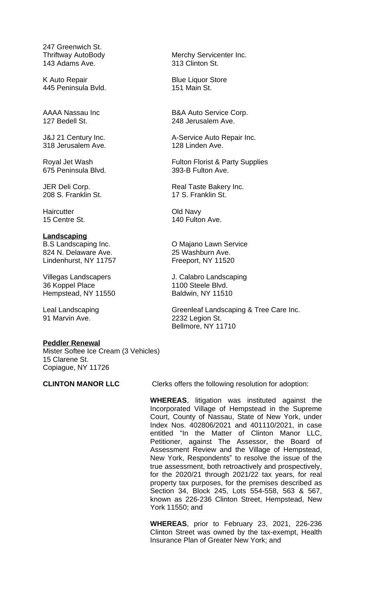247 Greenwich St.<br>Thriftway AutoBody 143 Adams Ave.

K Auto Repair Blue Liquor Store 445 Peninsula Bvld.

318 Jerusalem Ave. 128 Linden Ave.

675 Peninsula Blvd.

208 S. Franklin St. 17 S. Franklin St.

Haircutter Controller Cold Navy<br>15 Centre St. 140 Fulto

## **Landscaping**

824 N. Delaware Ave. 25 Washburn Ave. Lindenhurst, NY 11757

36 Koppel Place 1100 Steele Blvd.<br>
Hempstead, NY 11550 Baldwin, NY 11510 Hempstead, NY 11550

91 Marvin Ave. 2232 Legion St.

## **Peddler Renewal**

Mister Softee Ice Cream (3 Vehicles) 15 Clarene St. Copiague, NY 11726

Merchy Servicenter Inc.<br>313 Clinton St.

AAAA Nassau Inc B&A Auto Service Corp. 127 Bedell St. 248 Jerusalem Ave.

J&J 21 Century Inc. **A-Service Auto Repair Inc.** 

Royal Jet Wash Fulton Florist & Party Supplies<br>675 Peninsula Blvd. 675 Peninsula Blvd.

JER Deli Corp. The Corp. The Real Taste Bakery Inc.

140 Fulton Ave.

B.S Landscaping Inc. O Majano Lawn Service

Villegas Landscapers J. Calabro Landscaping

Leal Landscaping **Leal Landscaping A** Tree Care Inc. Bellmore, NY 11710

**CLINTON MANOR LLC** Clerks offers the following resolution for adoption:

**WHEREAS**, litigation was instituted against the Incorporated Village of Hempstead in the Supreme Court, County of Nassau, State of New York, under Index Nos. 402806/2021 and 401110/2021, in case entitled "In the Matter of Clinton Manor LLC, Petitioner, against The Assessor, the Board of Assessment Review and the Village of Hempstead, New York, Respondents" to resolve the issue of the true assessment, both retroactively and prospectively, for the 2020/21 through 2021/22 tax years, for real property tax purposes, for the premises described as Section 34, Block 245, Lots 554-558, 563 & 567, known as 226-236 Clinton Street, Hempstead, New York 11550; and

**WHEREAS**, prior to February 23, 2021, 226-236 Clinton Street was owned by the tax-exempt, Health Insurance Plan of Greater New York; and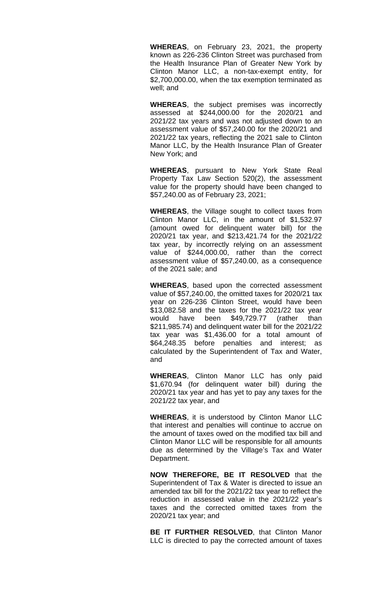**WHEREAS**, on February 23, 2021, the property known as 226-236 Clinton Street was purchased from the Health Insurance Plan of Greater New York by Clinton Manor LLC, a non-tax-exempt entity, for \$2,700,000.00, when the tax exemption terminated as well; and

**WHEREAS**, the subject premises was incorrectly assessed at \$244,000.00 for the 2020/21 and 2021/22 tax years and was not adjusted down to an assessment value of \$57,240.00 for the 2020/21 and 2021/22 tax years, reflecting the 2021 sale to Clinton Manor LLC, by the Health Insurance Plan of Greater New York; and

**WHEREAS**, pursuant to New York State Real Property Tax Law Section 520(2), the assessment value for the property should have been changed to \$57,240.00 as of February 23, 2021;

**WHEREAS**, the Village sought to collect taxes from Clinton Manor LLC, in the amount of \$1,532.97 (amount owed for delinquent water bill) for the 2020/21 tax year, and \$213,421.74 for the 2021/22 tax year, by incorrectly relying on an assessment value of \$244,000.00, rather than the correct assessment value of \$57,240.00, as a consequence of the 2021 sale; and

**WHEREAS**, based upon the corrected assessment value of \$57,240.00, the omitted taxes for 2020/21 tax year on 226-236 Clinton Street, would have been \$13,082.58 and the taxes for the 2021/22 tax year would have been \$49,729.77 (rather than \$211,985.74) and delinquent water bill for the 2021/22 tax year was \$1,436.00 for a total amount of \$64,248.35 before penalties and interest; as calculated by the Superintendent of Tax and Water, and

**WHEREAS**, Clinton Manor LLC has only paid \$1,670.94 (for delinquent water bill) during the 2020/21 tax year and has yet to pay any taxes for the 2021/22 tax year, and

**WHEREAS**, it is understood by Clinton Manor LLC that interest and penalties will continue to accrue on the amount of taxes owed on the modified tax bill and Clinton Manor LLC will be responsible for all amounts due as determined by the Village's Tax and Water Department.

**NOW THEREFORE, BE IT RESOLVED** that the Superintendent of Tax & Water is directed to issue an amended tax bill for the 2021/22 tax year to reflect the reduction in assessed value in the 2021/22 year's taxes and the corrected omitted taxes from the 2020/21 tax year; and

**BE IT FURTHER RESOLVED**, that Clinton Manor LLC is directed to pay the corrected amount of taxes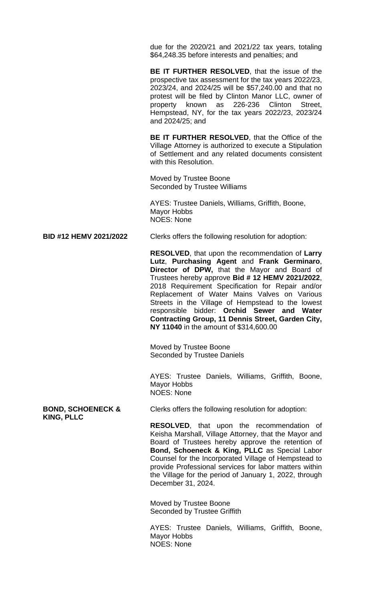due for the 2020/21 and 2021/22 tax years, totaling \$64,248.35 before interests and penalties; and

**BE IT FURTHER RESOLVED**, that the issue of the prospective tax assessment for the tax years 2022/23, 2023/24, and 2024/25 will be \$57,240.00 and that no protest will be filed by Clinton Manor LLC, owner of property known as 226-236 Clinton Street, Hempstead, NY, for the tax years 2022/23, 2023/24 and 2024/25; and

**BE IT FURTHER RESOLVED**, that the Office of the Village Attorney is authorized to execute a Stipulation of Settlement and any related documents consistent with this Resolution.

Moved by Trustee Boone Seconded by Trustee Williams

AYES: Trustee Daniels, Williams, Griffith, Boone, Mayor Hobbs NOES: None

**BID #12 HEMV 2021/2022** Clerks offers the following resolution for adoption:

**RESOLVED**, that upon the recommendation of **Larry Lutz**, **Purchasing Agent** and **Frank Germinaro**, **Director of DPW,** that the Mayor and Board of Trustees hereby approve **Bid # 12 HEMV 2021/2022**, 2018 Requirement Specification for Repair and/or Replacement of Water Mains Valves on Various Streets in the Village of Hempstead to the lowest responsible bidder: **Orchid Sewer and Water Contracting Group, 11 Dennis Street, Garden City, NY 11040** in the amount of \$314,600.00

Moved by Trustee Boone Seconded by Trustee Daniels

AYES: Trustee Daniels, Williams, Griffith, Boone, Mayor Hobbs NOES: None

**KING, PLLC**

**BOND, SCHOENECK & Clerks offers the following resolution for adoption:** 

**RESOLVED**, that upon the recommendation of Keisha Marshall, Village Attorney, that the Mayor and Board of Trustees hereby approve the retention of **Bond, Schoeneck & King, PLLC** as Special Labor Counsel for the Incorporated Village of Hempstead to provide Professional services for labor matters within the Village for the period of January 1, 2022, through December 31, 2024.

Moved by Trustee Boone Seconded by Trustee Griffith

AYES: Trustee Daniels, Williams, Griffith, Boone, Mayor Hobbs NOES: None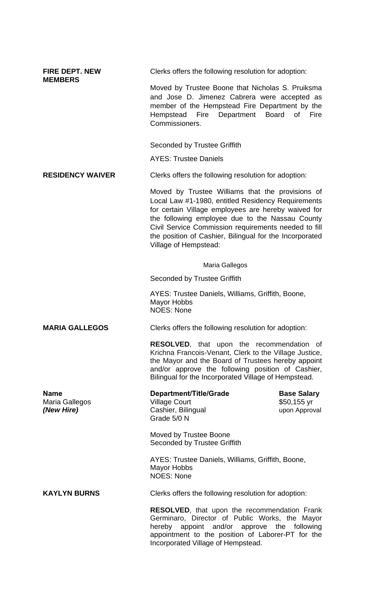| <b>FIRE DEPT. NEW</b><br><b>MEMBERS</b>     | Clerks offers the following resolution for adoption:                                                                                                                                                                                                                                                                                                         |                                                     |
|---------------------------------------------|--------------------------------------------------------------------------------------------------------------------------------------------------------------------------------------------------------------------------------------------------------------------------------------------------------------------------------------------------------------|-----------------------------------------------------|
|                                             | Moved by Trustee Boone that Nicholas S. Pruiksma<br>and Jose D. Jimenez Cabrera were accepted as<br>member of the Hempstead Fire Department by the<br>Department Board<br>Fire<br>Hempstead<br>Commissioners.                                                                                                                                                | of<br>Fire                                          |
|                                             | <b>Seconded by Trustee Griffith</b>                                                                                                                                                                                                                                                                                                                          |                                                     |
|                                             | <b>AYES: Trustee Daniels</b>                                                                                                                                                                                                                                                                                                                                 |                                                     |
| <b>RESIDENCY WAIVER</b>                     | Clerks offers the following resolution for adoption:                                                                                                                                                                                                                                                                                                         |                                                     |
|                                             | Moved by Trustee Williams that the provisions of<br>Local Law #1-1980, entitled Residency Requirements<br>for certain Village employees are hereby waived for<br>the following employee due to the Nassau County<br>Civil Service Commission requirements needed to fill<br>the position of Cashier, Bilingual for the Incorporated<br>Village of Hempstead: |                                                     |
|                                             | Maria Gallegos                                                                                                                                                                                                                                                                                                                                               |                                                     |
|                                             | Seconded by Trustee Griffith                                                                                                                                                                                                                                                                                                                                 |                                                     |
|                                             | AYES: Trustee Daniels, Williams, Griffith, Boone,<br><b>Mayor Hobbs</b><br><b>NOES: None</b>                                                                                                                                                                                                                                                                 |                                                     |
| <b>MARIA GALLEGOS</b>                       | Clerks offers the following resolution for adoption:                                                                                                                                                                                                                                                                                                         |                                                     |
|                                             | <b>RESOLVED,</b> that upon the recommendation of<br>Krichna Francois-Venant, Clerk to the Village Justice,<br>the Mayor and the Board of Trustees hereby appoint<br>and/or approve the following position of Cashier,<br>Bilingual for the Incorporated Village of Hempstead.                                                                                |                                                     |
| <b>Name</b><br>Maria Gallegos<br>(New Hire) | <b>Department/Title/Grade</b><br><b>Village Court</b><br>Cashier, Bilingual<br>Grade 5/0 N                                                                                                                                                                                                                                                                   | <b>Base Salary</b><br>$$50,155$ yr<br>upon Approval |
|                                             | Moved by Trustee Boone<br><b>Seconded by Trustee Griffith</b>                                                                                                                                                                                                                                                                                                |                                                     |
|                                             | AYES: Trustee Daniels, Williams, Griffith, Boone,<br>Mayor Hobbs<br><b>NOES: None</b>                                                                                                                                                                                                                                                                        |                                                     |
| <b>KAYLYN BURNS</b>                         | Clerks offers the following resolution for adoption:                                                                                                                                                                                                                                                                                                         |                                                     |
|                                             | <b>RESOLVED, that upon the recommendation Frank</b><br>Germinaro, Director of Public Works, the Mayor<br>appoint and/or approve the following<br>hereby<br>appointment to the position of Laborer-PT for the<br>Incorporated Village of Hempstead.                                                                                                           |                                                     |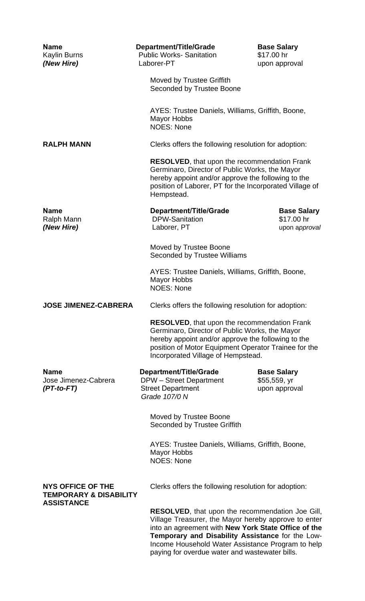| <b>Name</b><br>Kaylin Burns<br>(New Hire)                     | Department/Title/Grade<br><b>Public Works-Sanitation</b><br>Laborer-PT                                                                                                                                                                                    | <b>Base Salary</b><br>\$17.00 hr<br>upon approval                                                                                                                                                                                                                               |  |
|---------------------------------------------------------------|-----------------------------------------------------------------------------------------------------------------------------------------------------------------------------------------------------------------------------------------------------------|---------------------------------------------------------------------------------------------------------------------------------------------------------------------------------------------------------------------------------------------------------------------------------|--|
|                                                               | Moved by Trustee Griffith<br>Seconded by Trustee Boone                                                                                                                                                                                                    |                                                                                                                                                                                                                                                                                 |  |
|                                                               | AYES: Trustee Daniels, Williams, Griffith, Boone,<br><b>Mayor Hobbs</b><br><b>NOES: None</b>                                                                                                                                                              |                                                                                                                                                                                                                                                                                 |  |
| <b>RALPH MANN</b>                                             | Clerks offers the following resolution for adoption:                                                                                                                                                                                                      |                                                                                                                                                                                                                                                                                 |  |
|                                                               | Hempstead.                                                                                                                                                                                                                                                | <b>RESOLVED, that upon the recommendation Frank</b><br>Germinaro, Director of Public Works, the Mayor<br>hereby appoint and/or approve the following to the<br>position of Laborer, PT for the Incorporated Village of                                                          |  |
| <b>Name</b><br>Ralph Mann<br>(New Hire)                       | Department/Title/Grade<br><b>DPW-Sanitation</b><br>Laborer, PT                                                                                                                                                                                            | <b>Base Salary</b><br>\$17.00 hr<br>upon approval                                                                                                                                                                                                                               |  |
|                                                               | Moved by Trustee Boone<br>Seconded by Trustee Williams                                                                                                                                                                                                    |                                                                                                                                                                                                                                                                                 |  |
|                                                               | AYES: Trustee Daniels, Williams, Griffith, Boone,<br><b>Mayor Hobbs</b><br><b>NOES: None</b>                                                                                                                                                              |                                                                                                                                                                                                                                                                                 |  |
| <b>JOSE JIMENEZ-CABRERA</b>                                   |                                                                                                                                                                                                                                                           | Clerks offers the following resolution for adoption:                                                                                                                                                                                                                            |  |
|                                                               | <b>RESOLVED, that upon the recommendation Frank</b><br>Germinaro, Director of Public Works, the Mayor<br>hereby appoint and/or approve the following to the<br>position of Motor Equipment Operator Trainee for the<br>Incorporated Village of Hempstead. |                                                                                                                                                                                                                                                                                 |  |
| <b>Name</b><br>Jose Jimenez-Cabrera<br>$(PT-to-FT)$           | <b>Department/Title/Grade</b><br><b>DPW</b> – Street Department<br><b>Street Department</b><br>Grade 107/0 N                                                                                                                                              | <b>Base Salary</b><br>\$55,559, yr<br>upon approval                                                                                                                                                                                                                             |  |
|                                                               | Moved by Trustee Boone<br>Seconded by Trustee Griffith                                                                                                                                                                                                    |                                                                                                                                                                                                                                                                                 |  |
|                                                               | AYES: Trustee Daniels, Williams, Griffith, Boone,<br><b>Mayor Hobbs</b><br><b>NOES: None</b>                                                                                                                                                              |                                                                                                                                                                                                                                                                                 |  |
| <b>NYS OFFICE OF THE</b><br><b>TEMPORARY &amp; DISABILITY</b> | Clerks offers the following resolution for adoption:                                                                                                                                                                                                      |                                                                                                                                                                                                                                                                                 |  |
| <b>ASSISTANCE</b>                                             |                                                                                                                                                                                                                                                           | <b>RESOLVED, that upon the recommendation Joe Gill,</b><br>Village Treasurer, the Mayor hereby approve to enter<br>into an agreement with New York State Office of the<br>Temporary and Disability Assistance for the Low-<br>Income Household Water Assistance Program to help |  |

paying for overdue water and wastewater bills.